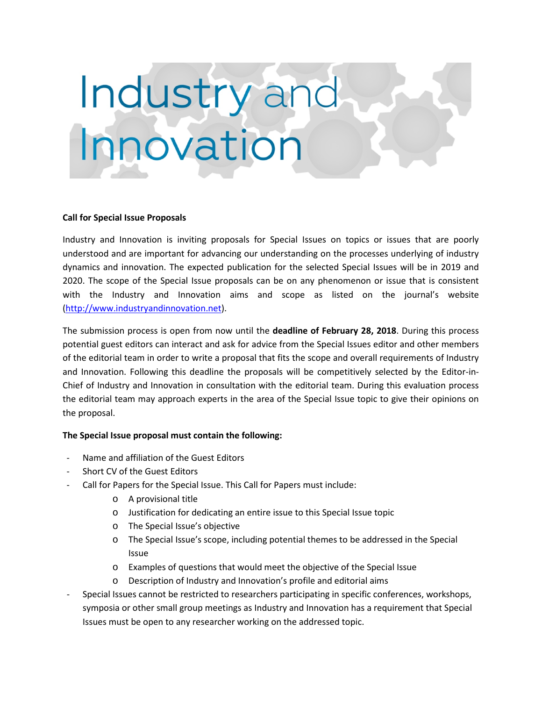## Industry and<br>Innovation

## **Call for Special Issue Proposals**

Industry and Innovation is inviting proposals for Special Issues on topics or issues that are poorly understood and are important for advancing our understanding on the processes underlying of industry dynamics and innovation. The expected publication for the selected Special Issues will be in 2019 and 2020. The scope of the Special Issue proposals can be on any phenomenon or issue that is consistent with the Industry and Innovation aims and scope as listed on the journal's website [\(http://www.industryandinnovation.net\)](http://www.industryandinnovation.net/).

The submission process is open from now until the **deadline of February 28, 2018**. During this process potential guest editors can interact and ask for advice from the Special Issues editor and other members of the editorial team in order to write a proposal that fits the scope and overall requirements of Industry and Innovation. Following this deadline the proposals will be competitively selected by the Editor-in-Chief of Industry and Innovation in consultation with the editorial team. During this evaluation process the editorial team may approach experts in the area of the Special Issue topic to give their opinions on the proposal.

## **The Special Issue proposal must contain the following:**

- Name and affiliation of the Guest Editors
- Short CV of the Guest Editors
- Call for Papers for the Special Issue. This Call for Papers must include:
	- o A provisional title
	- o Justification for dedicating an entire issue to this Special Issue topic
	- o The Special Issue's objective
	- o The Special Issue's scope, including potential themes to be addressed in the Special Issue
	- o Examples of questions that would meet the objective of the Special Issue
	- o Description of Industry and Innovation's profile and editorial aims
- Special Issues cannot be restricted to researchers participating in specific conferences, workshops, symposia or other small group meetings as Industry and Innovation has a requirement that Special Issues must be open to any researcher working on the addressed topic.